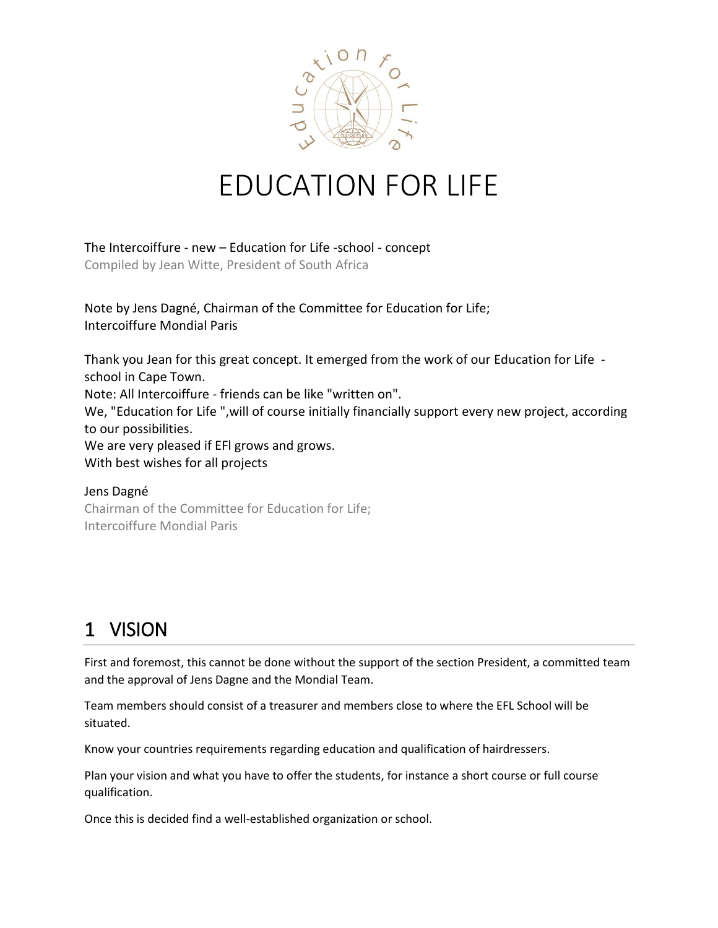

# EDUCATION FOR LIFE

The Intercoiffure - new – Education for Life -school - concept Compiled by Jean Witte, President of South Africa

Note by Jens Dagné, Chairman of the Committee for Education for Life; Intercoiffure Mondial Paris

Thank you Jean for this great concept. It emerged from the work of our Education for Life school in Cape Town. Note: All Intercoiffure - friends can be like "written on". We, "Education for Life ",will of course initially financially support every new project, according to our possibilities. We are very pleased if EFl grows and grows. With best wishes for all projects

Jens Dagné Chairman of the Committee for Education for Life; Intercoiffure Mondial Paris

### 1 VISION

First and foremost, this cannot be done without the support of the section President, a committed team and the approval of Jens Dagne and the Mondial Team.

Team members should consist of a treasurer and members close to where the EFL School will be situated.

Know your countries requirements regarding education and qualification of hairdressers.

Plan your vision and what you have to offer the students, for instance a short course or full course qualification.

Once this is decided find a well-established organization or school.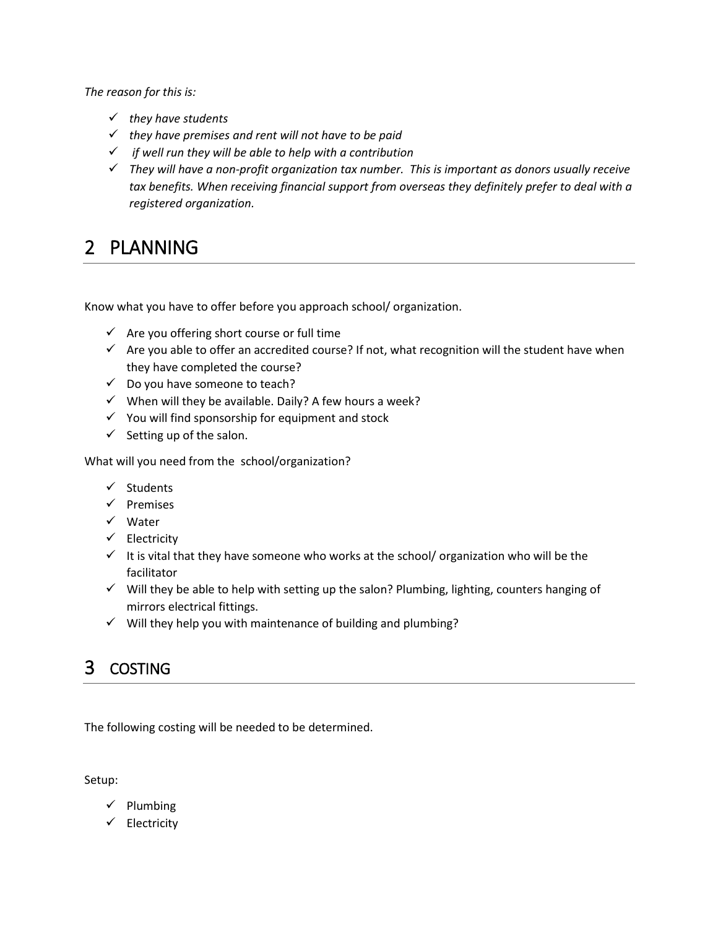*The reason for this is:*

- *they have students*
- *they have premises and rent will not have to be paid*
- *if well run they will be able to help with a contribution*
- *They will have a non-profit organization tax number. This is important as donors usually receive tax benefits. When receiving financial support from overseas they definitely prefer to deal with a registered organization.*

## 2 PLANNING

Know what you have to offer before you approach school/ organization.

- $\checkmark$  Are you offering short course or full time
- $\checkmark$  Are you able to offer an accredited course? If not, what recognition will the student have when they have completed the course?
- $\checkmark$  Do you have someone to teach?
- $\checkmark$  When will they be available. Daily? A few hours a week?
- $\checkmark$  You will find sponsorship for equipment and stock
- $\checkmark$  Setting up of the salon.

What will you need from the school/organization?

- $\checkmark$  Students
- $\checkmark$  Premises
- $\checkmark$  Water
- $\checkmark$  Electricity
- $\checkmark$  It is vital that they have someone who works at the school/ organization who will be the facilitator
- $\checkmark$  Will they be able to help with setting up the salon? Plumbing, lighting, counters hanging of mirrors electrical fittings.
- $\checkmark$  Will they help you with maintenance of building and plumbing?

#### 3 COSTING

The following costing will be needed to be determined.

Setup:

- $\checkmark$  Plumbing
- $\checkmark$  Electricity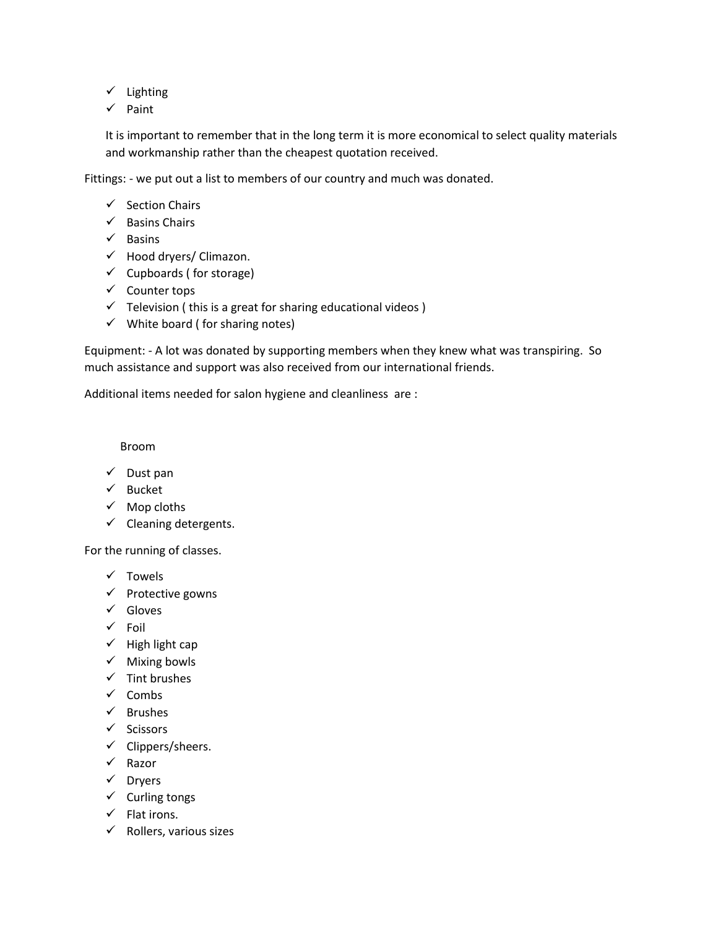- $\checkmark$  Lighting
- $\checkmark$  Paint

It is important to remember that in the long term it is more economical to select quality materials and workmanship rather than the cheapest quotation received.

Fittings: - we put out a list to members of our country and much was donated.

- $\checkmark$  Section Chairs
- $\checkmark$  Basins Chairs
- $\checkmark$  Basins
- $\checkmark$  Hood dryers/ Climazon.
- $\checkmark$  Cupboards (for storage)
- $\checkmark$  Counter tops
- $\checkmark$  Television (this is a great for sharing educational videos)
- $\checkmark$  White board (for sharing notes)

Equipment: - A lot was donated by supporting members when they knew what was transpiring. So much assistance and support was also received from our international friends.

Additional items needed for salon hygiene and cleanliness are :

Broom

- $\checkmark$  Dust pan
- $\checkmark$  Bucket
- $\checkmark$  Mop cloths
- $\checkmark$  Cleaning detergents.

For the running of classes.

- $\checkmark$  Towels
- $\checkmark$  Protective gowns
- $\checkmark$  Gloves
- $\checkmark$  Foil
- $\checkmark$  High light cap
- $\checkmark$  Mixing bowls
- $\checkmark$  Tint brushes
- $\checkmark$  Combs
- $\checkmark$  Brushes
- $\checkmark$  Scissors
- $\checkmark$  Clippers/sheers.
- $\checkmark$  Razor
- $\checkmark$  Dryers
- $\checkmark$  Curling tongs
- $\checkmark$  Flat irons.
- $\checkmark$  Rollers, various sizes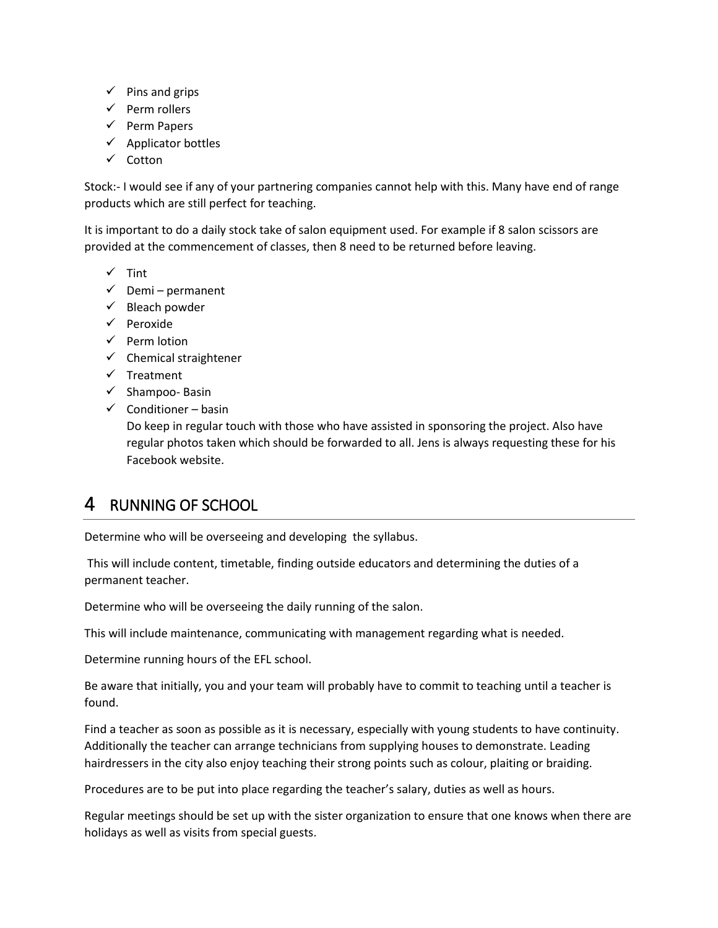- $\checkmark$  Pins and grips
- $\checkmark$  Perm rollers
- $\checkmark$  Perm Papers
- $\checkmark$  Applicator bottles
- $\checkmark$  Cotton

Stock:- I would see if any of your partnering companies cannot help with this. Many have end of range products which are still perfect for teaching.

It is important to do a daily stock take of salon equipment used. For example if 8 salon scissors are provided at the commencement of classes, then 8 need to be returned before leaving.

- $\checkmark$  Tint
- $\checkmark$  Demi permanent
- $\checkmark$  Bleach powder
- $\checkmark$  Peroxide
- $\checkmark$  Perm lotion
- $\checkmark$  Chemical straightener
- $\checkmark$  Treatment
- $\checkmark$  Shampoo- Basin
- $\checkmark$  Conditioner basin

Do keep in regular touch with those who have assisted in sponsoring the project. Also have regular photos taken which should be forwarded to all. Jens is always requesting these for his Facebook website.

#### 4 RUNNING OF SCHOOL

Determine who will be overseeing and developing the syllabus.

This will include content, timetable, finding outside educators and determining the duties of a permanent teacher.

Determine who will be overseeing the daily running of the salon.

This will include maintenance, communicating with management regarding what is needed.

Determine running hours of the EFL school.

Be aware that initially, you and your team will probably have to commit to teaching until a teacher is found.

Find a teacher as soon as possible as it is necessary, especially with young students to have continuity. Additionally the teacher can arrange technicians from supplying houses to demonstrate. Leading hairdressers in the city also enjoy teaching their strong points such as colour, plaiting or braiding.

Procedures are to be put into place regarding the teacher's salary, duties as well as hours.

Regular meetings should be set up with the sister organization to ensure that one knows when there are holidays as well as visits from special guests.